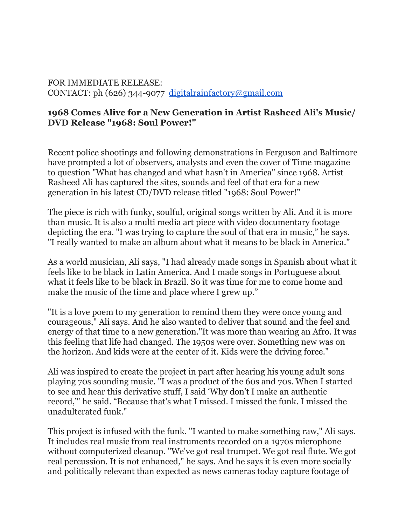## FOR IMMEDIATE RELEASE: CONTACT: ph (626) 344-9077 [digitalrainfactory@gmail.com](mailto:digitalrainfactory@gmail.com)

## **1968 Comes Alive for a New Generation in Artist Rasheed Ali's Music/ DVD Release "1968: Soul Power!"**

Recent police shootings and following demonstrations in Ferguson and Baltimore have prompted a lot of observers, analysts and even the cover of Time magazine to question "What has changed and what hasn't in America" since 1968. Artist Rasheed Ali has captured the sites, sounds and feel of that era for a new generation in his latest CD/DVD release titled "1968: Soul Power!"

The piece is rich with funky, soulful, original songs written by Ali. And it is more than music. It is also a multi media art piece with video documentary footage depicting the era. "I was trying to capture the soul of that era in music," he says. "I really wanted to make an album about what it means to be black in America."

As a world musician, Ali says, "I had already made songs in Spanish about what it feels like to be black in Latin America. And I made songs in Portuguese about what it feels like to be black in Brazil. So it was time for me to come home and make the music of the time and place where I grew up."

"It is a love poem to my generation to remind them they were once young and courageous," Ali says. And he also wanted to deliver that sound and the feel and energy of that time to a new generation."It was more than wearing an Afro. It was this feeling that life had changed. The 1950s were over. Something new was on the horizon. And kids were at the center of it. Kids were the driving force."

Ali was inspired to create the project in part after hearing his young adult sons playing 70s sounding music. "I was a product of the 60s and 70s. When I started to see and hear this derivative stuff, I said 'Why don't I make an authentic record,'" he said. "Because that's what I missed. I missed the funk. I missed the unadulterated funk."

This project is infused with the funk. "I wanted to make something raw," Ali says. It includes real music from real instruments recorded on a 1970s microphone without computerized cleanup. "We've got real trumpet. We got real flute. We got real percussion. It is not enhanced," he says. And he says it is even more socially and politically relevant than expected as news cameras today capture footage of